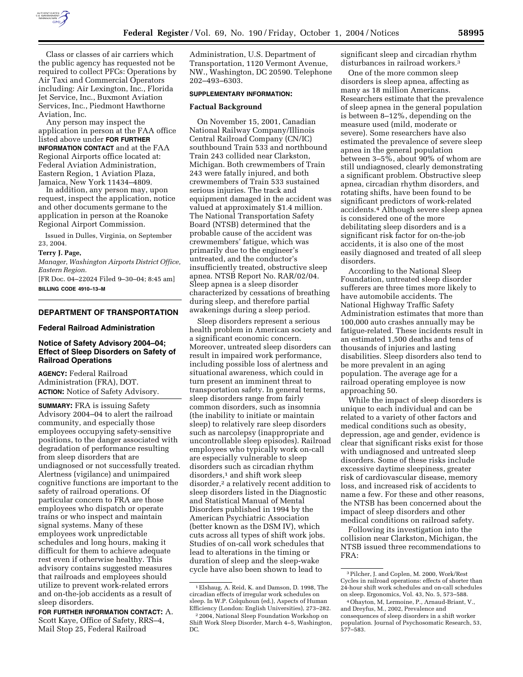

Class or classes of air carriers which the public agency has requested not be required to collect PFCs: Operations by Air Taxi and Commercial Operators including: Air Lexington, Inc., Florida Jet Service, Inc., Buxmont Aviation Services, Inc., Piedmont Hawthorne Aviation, Inc.

Any person may inspect the application in person at the FAA office listed above under **FOR FURTHER INFORMATION CONTACT** and at the FAA Regional Airports office located at: Federal Aviation Administration, Eastern Region, 1 Aviation Plaza, Jamaica, New York 11434–4809.

In addition, any person may, upon request, inspect the application, notice and other documents germane to the application in person at the Roanoke Regional Airport Commission.

Issued in Dulles, Virginia, on September 23, 2004.

# **Terry J. Page,**

*Manager, Washington Airports District Office, Eastern Region.*

[FR Doc. 04–22024 Filed 9–30–04; 8:45 am] **BILLING CODE 4910–13–M**

### **DEPARTMENT OF TRANSPORTATION**

#### **Federal Railroad Administration**

# **Notice of Safety Advisory 2004–04; Effect of Sleep Disorders on Safety of Railroad Operations**

**AGENCY:** Federal Railroad Administration (FRA), DOT. **ACTION:** Notice of Safety Advisory.

**SUMMARY:** FRA is issuing Safety Advisory 2004–04 to alert the railroad community, and especially those employees occupying safety-sensitive positions, to the danger associated with degradation of performance resulting from sleep disorders that are undiagnosed or not successfully treated. Alertness (vigilance) and unimpaired cognitive functions are important to the safety of railroad operations. Of particular concern to FRA are those employees who dispatch or operate trains or who inspect and maintain signal systems. Many of these employees work unpredictable schedules and long hours, making it difficult for them to achieve adequate rest even if otherwise healthy. This advisory contains suggested measures that railroads and employees should utilize to prevent work-related errors and on-the-job accidents as a result of sleep disorders.

**FOR FURTHER INFORMATION CONTACT:** A. Scott Kaye, Office of Safety, RRS–4, Mail Stop 25, Federal Railroad

Administration, U.S. Department of Transportation, 1120 Vermont Avenue, NW., Washington, DC 20590. Telephone 202–493–6303.

#### **SUPPLEMENTARY INFORMATION:**

#### **Factual Background**

On November 15, 2001, Canadian National Railway Company/Illinois Central Railroad Company (CN/IC) southbound Train 533 and northbound Train 243 collided near Clarkston, Michigan. Both crewmembers of Train 243 were fatally injured, and both crewmembers of Train 533 sustained serious injuries. The track and equipment damaged in the accident was valued at approximately \$1.4 million. The National Transportation Safety Board (NTSB) determined that the probable cause of the accident was crewmembers' fatigue, which was primarily due to the engineer's untreated, and the conductor's insufficiently treated, obstructive sleep apnea. NTSB Report No. RAR/02/04. Sleep apnea is a sleep disorder characterized by cessations of breathing during sleep, and therefore partial awakenings during a sleep period.

Sleep disorders represent a serious health problem in American society and a significant economic concern. Moreover, untreated sleep disorders can result in impaired work performance, including possible loss of alertness and situational awareness, which could in turn present an imminent threat to transportation safety. In general terms, sleep disorders range from fairly common disorders, such as insomnia (the inability to initiate or maintain sleep) to relatively rare sleep disorders such as narcolepsy (inappropriate and uncontrollable sleep episodes). Railroad employees who typically work on-call are especially vulnerable to sleep disorders such as circadian rhythm disorders,<sup>1</sup> and shift work sleep disorder,2 a relatively recent addition to sleep disorders listed in the Diagnostic and Statistical Manual of Mental Disorders published in 1994 by the American Psychiatric Association (better known as the DSM IV), which cuts across all types of shift work jobs. Studies of on-call work schedules that lead to alterations in the timing or duration of sleep and the sleep-wake cycle have also been shown to lead to

significant sleep and circadian rhythm disturbances in railroad workers.3

One of the more common sleep disorders is sleep apnea, affecting as many as 18 million Americans. Researchers estimate that the prevalence of sleep apnea in the general population is between 8–12%, depending on the measure used (mild, moderate or severe). Some researchers have also estimated the prevalence of severe sleep apnea in the general population between  $3-5\%$ , about 90% of whom are still undiagnosed, clearly demonstrating a significant problem. Obstructive sleep apnea, circadian rhythm disorders, and rotating shifts, have been found to be significant predictors of work-related accidents.4 Although severe sleep apnea is considered one of the more debilitating sleep disorders and is a significant risk factor for on-the-job accidents, it is also one of the most easily diagnosed and treated of all sleep disorders.

According to the National Sleep Foundation, untreated sleep disorder sufferers are three times more likely to have automobile accidents. The National Highway Traffic Safety Administration estimates that more than 100,000 auto crashes annually may be fatigue-related. These incidents result in an estimated 1,500 deaths and tens of thousands of injuries and lasting disabilities. Sleep disorders also tend to be more prevalent in an aging population. The average age for a railroad operating employee is now approaching 50.

While the impact of sleep disorders is unique to each individual and can be related to a variety of other factors and medical conditions such as obesity, depression, age and gender, evidence is clear that significant risks exist for those with undiagnosed and untreated sleep disorders. Some of these risks include excessive daytime sleepiness, greater risk of cardiovascular disease, memory loss, and increased risk of accidents to name a few. For these and other reasons, the NTSB has been concerned about the impact of sleep disorders and other medical conditions on railroad safety.

Following its investigation into the collision near Clarkston, Michigan, the NTSB issued three recommendations to FRA:

<sup>1</sup>Elshaug, A. Reid, K. and Damson, D. 1998, The circadian effects of irregular work schedules on sleep. In W.P. Colquhoun (ed.), Aspects of Human Efficiency (London: English Universities), 273–282.

<sup>2</sup> 2004, National Sleep Foundation Workshop on Shift Work Sleep Disorder, March 4–5, Washington, DC.

<sup>3</sup>Pilcher, J. and Coplen, M. 2000, Work/Rest Cycles in railroad operations: effects of shorter than 24-hour shift work schedules and on-call schedules on sleep. Ergonomics, Vol. 43, No. 5, 573–588.

<sup>4</sup>Ohayton, M, Lermoine, P., Arnaud-Briant, V., and Dreyfus, M., 2002, Prevalence and consequences of sleep disorders in a shift worker population. Journal of Psychosomatic Research, 53, 577–583.